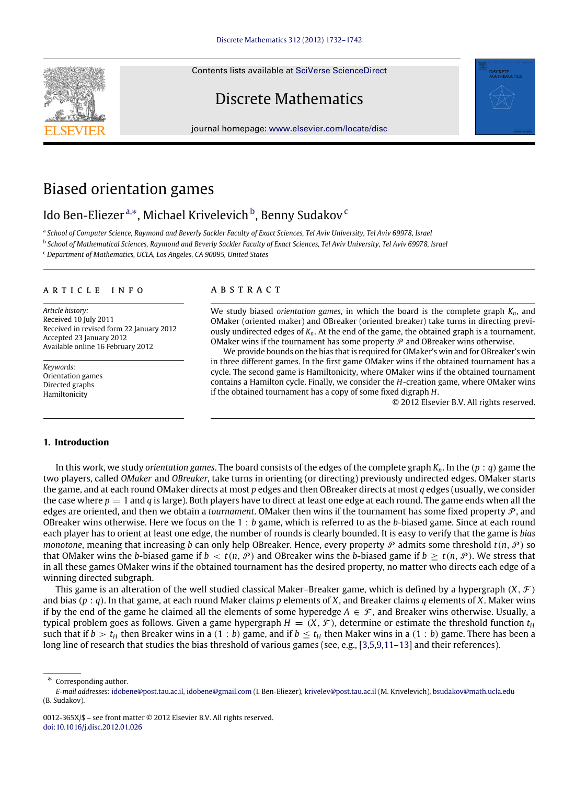Contents lists available at [SciVerse ScienceDirect](http://www.elsevier.com/locate/disc)

# Discrete Mathematics

journal homepage: [www.elsevier.com/locate/disc](http://www.elsevier.com/locate/disc)

# Biased orientation games

# Ido Ben-Eliezer ª,\*, Michael Krivelevich <sup>[b](#page-0-2)</sup>, Benny Sudakov <sup>[c](#page-0-3)</sup>

<span id="page-0-0"></span>a *School of Computer Science, Raymond and Beverly Sackler Faculty of Exact Sciences, Tel Aviv University, Tel Aviv 69978, Israel*

<span id="page-0-2"></span>b *School of Mathematical Sciences, Raymond and Beverly Sackler Faculty of Exact Sciences, Tel Aviv University, Tel Aviv 69978, Israel*

<span id="page-0-3"></span><sup>c</sup> *Department of Mathematics, UCLA, Los Angeles, CA 90095, United States*

### a r t i c l e i n f o

*Article history:* Received 10 July 2011 Received in revised form 22 January 2012 Accepted 23 January 2012 Available online 16 February 2012

*Keywords:* Orientation games Directed graphs Hamiltonicity

# a b s t r a c t

We study biased *orientation games*, in which the board is the complete graph *Kn*, and OMaker (oriented maker) and OBreaker (oriented breaker) take turns in directing previously undirected edges of  $K_n$ . At the end of the game, the obtained graph is a tournament. OMaker wins if the tournament has some property  $P$  and OBreaker wins otherwise.

We provide bounds on the bias that is required for OMaker's win and for OBreaker's win in three different games. In the first game OMaker wins if the obtained tournament has a cycle. The second game is Hamiltonicity, where OMaker wins if the obtained tournament contains a Hamilton cycle. Finally, we consider the *H*-creation game, where OMaker wins if the obtained tournament has a copy of some fixed digraph *H*.

© 2012 Elsevier B.V. All rights reserved.

#### **1. Introduction**

In this work, we study *orientation games*. The board consists of the edges of the complete graph *Kn*. In the (*p* : *q*) game the two players, called *OMaker* and *OBreaker*, take turns in orienting (or directing) previously undirected edges. OMaker starts the game, and at each round OMaker directs at most *p* edges and then OBreaker directs at most *q* edges (usually, we consider the case where  $p = 1$  and  $q$  is large). Both players have to direct at least one edge at each round. The game ends when all the edges are oriented, and then we obtain a *tournament*. OMaker then wins if the tournament has some fixed property P , and OBreaker wins otherwise. Here we focus on the 1 : *b* game, which is referred to as the *b*-biased game. Since at each round each player has to orient at least one edge, the number of rounds is clearly bounded. It is easy to verify that the game is *bias monotone*, meaning that increasing *b* can only help OBreaker. Hence, every property  $P$  admits some threshold  $t(n, P)$  so that OMaker wins the *b*-biased game if  $b < t(n, \mathcal{P})$  and OBreaker wins the *b*-biased game if  $b > t(n, \mathcal{P})$ . We stress that in all these games OMaker wins if the obtained tournament has the desired property, no matter who directs each edge of a winning directed subgraph.

This game is an alteration of the well studied classical Maker–Breaker game, which is defined by a hypergraph  $(X, \mathcal{F})$ and bias (*p* : *q*). In that game, at each round Maker claims *p* elements of *X*, and Breaker claims *q* elements of *X*. Maker wins if by the end of the game he claimed all the elements of some hyperedge  $A \in \mathcal{F}$ , and Breaker wins otherwise. Usually, a typical problem goes as follows. Given a game hypergraph  $H = (X, \mathcal{F})$ , determine or estimate the threshold function  $t_H$ such that if  $b > t$ <sup>H</sup> then Breaker wins in a (1 : *b*) game, and if  $b \le t$ <sup>H</sup> then Maker wins in a (1 : *b*) game. There has been a long line of research that studies the bias threshold of various games (see, e.g., [\[3,](#page-10-0)[5,](#page-10-1)[9](#page-10-2)[,11–13\]](#page-10-3) and their references).

<span id="page-0-1"></span>Corresponding author.



*E-mail addresses:* [idobene@post.tau.ac.il,](mailto:idobene@post.tau.ac.il) [idobene@gmail.com](mailto:idobene@gmail.com) (I. Ben-Eliezer), [krivelev@post.tau.ac.il](mailto:krivelev@post.tau.ac.il) (M. Krivelevich), [bsudakov@math.ucla.edu](mailto:bsudakov@math.ucla.edu) (B. Sudakov).

<sup>0012-365</sup>X/\$ – see front matter © 2012 Elsevier B.V. All rights reserved. [doi:10.1016/j.disc.2012.01.026](http://dx.doi.org/10.1016/j.disc.2012.01.026)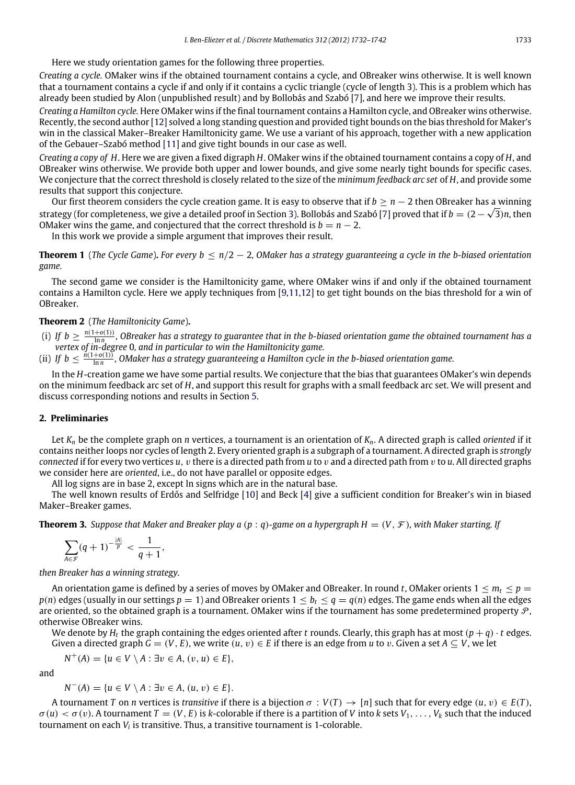Here we study orientation games for the following three properties.

*Creating a cycle.* OMaker wins if the obtained tournament contains a cycle, and OBreaker wins otherwise. It is well known that a tournament contains a cycle if and only if it contains a cyclic triangle (cycle of length 3). This is a problem which has already been studied by Alon (unpublished result) and by Bollobás and Szabó [\[7\]](#page-10-4), and here we improve their results.

*Creating a Hamilton cycle.* Here OMaker wins if the final tournament contains a Hamilton cycle, and OBreaker wins otherwise. Recently, the second author [\[12\]](#page-10-5) solved a long standing question and provided tight bounds on the bias threshold for Maker's win in the classical Maker–Breaker Hamiltonicity game. We use a variant of his approach, together with a new application of the Gebauer–Szabó method [\[11\]](#page-10-3) and give tight bounds in our case as well.

*Creating a copy of H*. Here we are given a fixed digraph *H*. OMaker wins if the obtained tournament contains a copy of *H*, and OBreaker wins otherwise. We provide both upper and lower bounds, and give some nearly tight bounds for specific cases. We conjecture that the correct threshold is closely related to the size of the *minimum feedback arc set* of *H*, and provide some results that support this conjecture.

Our first theorem considers the cycle creation game. It is easy to observe that if  $b \ge n-2$  then OBreaker has a winning strategy (for completeness, we give a detailed proof in Section [3\)](#page-2-0). Bollobás and Szabó [\[7\]](#page-10-4) proved that if  $b=(2-\sqrt{3})n$ , then OMaker wins the game, and conjectured that the correct threshold is  $b = n - 2$ .

<span id="page-1-0"></span>In this work we provide a simple argument that improves their result.

**Theorem 1** (*The Cycle Game*)**.** *For every b* ≤ *n*/2 − 2*, OMaker has a strategy guaranteeing a cycle in the b-biased orientation game.*

The second game we consider is the Hamiltonicity game, where OMaker wins if and only if the obtained tournament contains a Hamilton cycle. Here we apply techniques from [\[9](#page-10-2)[,11,](#page-10-3)[12\]](#page-10-5) to get tight bounds on the bias threshold for a win of OBreaker.

#### <span id="page-1-1"></span>**Theorem 2** (*The Hamiltonicity Game*)**.**

- (i) If  $b \geq \frac{n(1+o(1))}{\ln n}$ , OBreaker has a strategy to guarantee that in the b-biased orientation game the obtained tournament has a *vertex of in-degree* 0*, and in particular to win the Hamiltonicity game.*
- (ii) If  $b \leq \frac{n(1+o(1))}{\ln n}$ , OMaker has a strategy guaranteeing a Hamilton cycle in the b-biased orientation game.

In the *H*-creation game we have some partial results. We conjecture that the bias that guarantees OMaker's win depends on the minimum feedback arc set of *H*, and support this result for graphs with a small feedback arc set. We will present and discuss corresponding notions and results in Section [5.](#page-6-0)

## **2. Preliminaries**

Let  $K_n$  be the complete graph on *n* vertices, a tournament is an orientation of  $K_n$ . A directed graph is called *oriented* if it contains neither loops nor cycles of length 2. Every oriented graph is a subgraph of a tournament. A directed graph is *strongly connected* if for every two vertices *u*, v there is a directed path from *u* to v and a directed path from v to *u*. All directed graphs we consider here are *oriented*, i.e., do not have parallel or opposite edges.

All log signs are in base 2, except ln signs which are in the natural base.

The well known results of Erdős and Selfridge [\[10\]](#page-10-6) and Beck [\[4\]](#page-10-7) give a sufficient condition for Breaker's win in biased Maker–Breaker games.

**Theorem 3.** Suppose that Maker and Breaker play a  $(p: q)$ -game on a hypergraph  $H = (V, \mathcal{F})$ , with Maker starting. If

<span id="page-1-2"></span>
$$
\sum_{A\in\mathcal{F}}(q+1)^{-\frac{|A|}{p}}<\frac{1}{q+1},
$$

*then Breaker has a winning strategy.*

An orientation game is defined by a series of moves by OMaker and OBreaker. In round *t*, OMaker orients 1 ≤ *m<sup>t</sup>* ≤ *p* = *p*(*n*) edges (usually in our settings *p* = 1) and OBreaker orients  $1 \leq b_t \leq q = q(n)$  edges. The game ends when all the edges are oriented, so the obtained graph is a tournament. OMaker wins if the tournament has some predetermined property  $P$ , otherwise OBreaker wins.

We denote by  $H_t$  the graph containing the edges oriented after *t* rounds. Clearly, this graph has at most  $(p+q) \cdot t$  edges. Given a directed graph  $G = (V, E)$ , we write  $(u, v) \in E$  if there is an edge from u to v. Given a set  $A \subseteq V$ , we let

$$
N^+(A) = \{u \in V \setminus A : \exists v \in A, (v, u) \in E\},\
$$

and

$$
N^{-}(A) = \{u \in V \setminus A : \exists v \in A, (u, v) \in E\}.
$$

A tournament *T* on *n* vertices is *transitive* if there is a bijection  $\sigma: V(T) \to [n]$  such that for every edge  $(u, v) \in E(T)$ ,  $\sigma(u) < \sigma(v)$ . A tournament  $T = (V, E)$  is *k*-colorable if there is a partition of *V* into *k* sets  $V_1, \ldots, V_k$  such that the induced tournament on each *V<sup>i</sup>* is transitive. Thus, a transitive tournament is 1-colorable.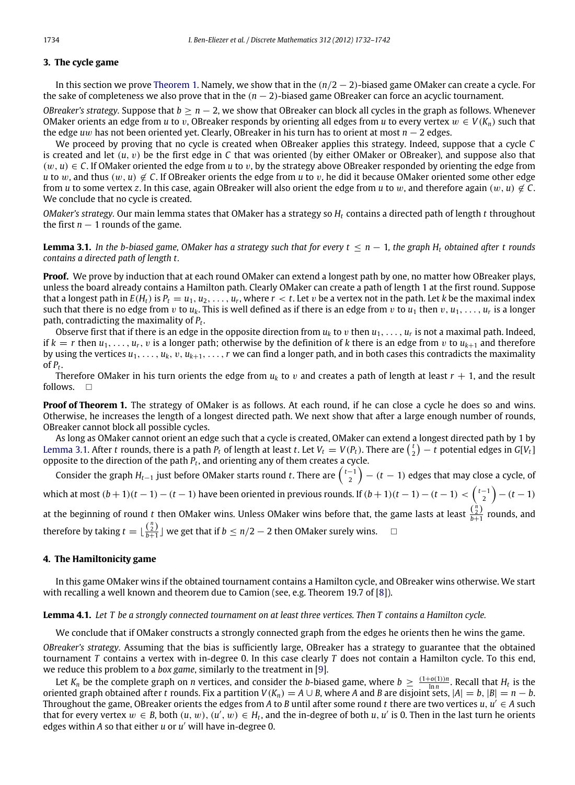# <span id="page-2-0"></span>**3. The cycle game**

In this section we prove [Theorem 1.](#page-1-0) Namely, we show that in the (*n*/2 − 2)-biased game OMaker can create a cycle. For the sake of completeness we also prove that in the (*n* − 2)-biased game OBreaker can force an acyclic tournament.

*OBreaker's strategy.* Suppose that *b* ≥ *n* − 2, we show that OBreaker can block all cycles in the graph as follows. Whenever OMaker orients an edge from *u* to *v*, OBreaker responds by orienting all edges from *u* to every vertex  $w \in V(K_n)$  such that the edge *u*w has not been oriented yet. Clearly, OBreaker in his turn has to orient at most *n* − 2 edges.

We proceed by proving that no cycle is created when OBreaker applies this strategy. Indeed, suppose that a cycle *C* is created and let  $(u, v)$  be the first edge in  $C$  that was oriented (by either OMaker or OBreaker), and suppose also that  $(w, u) \in C$ . If OMaker oriented the edge from *u* to *v*, by the strategy above OBreaker responded by orienting the edge from *u* to w, and thus  $(w, u) \notin C$ . If OBreaker orients the edge from *u* to v, he did it because OMaker oriented some other edge from *u* to some vertex *z*. In this case, again OBreaker will also orient the edge from *u* to w, and therefore again  $(w, u) \notin C$ . We conclude that no cycle is created.

*OMaker's strategy.* Our main lemma states that OMaker has a strategy so *H<sup>t</sup>* contains a directed path of length *t* throughout the first  $n - 1$  rounds of the game.

<span id="page-2-1"></span>**Lemma 3.1.** *In the b-biased game, OMaker has a strategy such that for every t* ≤ *n* − 1*, the graph H<sup>t</sup> obtained after t rounds contains a directed path of length t.*

**Proof.** We prove by induction that at each round OMaker can extend a longest path by one, no matter how OBreaker plays, unless the board already contains a Hamilton path. Clearly OMaker can create a path of length 1 at the first round. Suppose that a longest path in  $E(H_t)$  is  $P_t = u_1, u_2, \ldots, u_r$ , where  $r < t$ . Let v be a vertex not in the path. Let *k* be the maximal index such that there is no edge from v to  $u_k$ . This is well defined as if there is an edge from v to  $u_1$  then v,  $u_1,\ldots,u_r$  is a longer path, contradicting the maximality of *P<sup>t</sup>* .

Observe first that if there is an edge in the opposite direction from *u<sup>k</sup>* to v then *u*1, . . . , *u<sup>r</sup>* is not a maximal path. Indeed, if  $k = r$  then  $u_1, \ldots, u_r, v$  is a longer path; otherwise by the definition of *k* there is an edge from *v* to  $u_{k+1}$  and therefore by using the vertices  $u_1, \ldots, u_k, v, u_{k+1}, \ldots, r$  we can find a longer path, and in both cases this contradicts the maximality of  $P_t$ .

Therefore OMaker in his turn orients the edge from  $u_k$  to  $v$  and creates a path of length at least  $r + 1$ , and the result follows.  $\square$ 

**Proof of Theorem 1.** The strategy of OMaker is as follows. At each round, if he can close a cycle he does so and wins. Otherwise, he increases the length of a longest directed path. We next show that after a large enough number of rounds, OBreaker cannot block all possible cycles.

As long as OMaker cannot orient an edge such that a cycle is created, OMaker can extend a longest directed path by 1 by [Lemma 3.1.](#page-2-1) After t rounds, there is a path  $P_t$  of length at least t. Let  $V_t = V(P_t)$ . There are  $\binom{t}{2} - t$  potential edges in G[V<sub>t</sub>] opposite to the direction of the path  $P_t$ , and orienting any of them creates a cycle.

Consider the graph  $H_{t-1}$  just before OMaker starts round *t*. There are  $\binom{t-1}{2} - (t-1)$  edges that may close a cycle, of which at most  $(b+1)(t-1)-(t-1)$  have been oriented in previous rounds. If  $(b+1)(t-1)-(t-1)< \binom{t-1}{2}-(t-1)$ at the beginning of round t then OMaker wins. Unless OMaker wins before that, the game lasts at least  $\frac{\binom{n}{2}}{b+1}$  rounds, and

therefore by taking  $t = \lfloor \frac{{n \choose 2}}{b+1} \rfloor$  we get that if  $b \leq n/2 - 2$  then OMaker surely wins.  $\square$ 

#### <span id="page-2-3"></span>**4. The Hamiltonicity game**

In this game OMaker wins if the obtained tournament contains a Hamilton cycle, and OBreaker wins otherwise. We start with recalling a well known and theorem due to Camion (see, e.g. Theorem 19.7 of [\[8\]](#page-10-8)).

#### **Lemma 4.1.** *Let T be a strongly connected tournament on at least three vertices. Then T contains a Hamilton cycle.*

<span id="page-2-2"></span>We conclude that if OMaker constructs a strongly connected graph from the edges he orients then he wins the game.

*OBreaker's strategy.* Assuming that the bias is sufficiently large, OBreaker has a strategy to guarantee that the obtained tournament *T* contains a vertex with in-degree 0. In this case clearly *T* does not contain a Hamilton cycle. To this end, we reduce this problem to a *box game*, similarly to the treatment in [\[9\]](#page-10-2).

Let  $K_n$  be the complete graph on *n* vertices, and consider the *b*-biased game, where  $b \geq \frac{(1+o(1))n}{\ln n}$ . Recall that  $H_t$  is the oriented graph obtained after *t* rounds. Fix a partition  $V(K_n) = A \cup B$ , where A and B are disjoint sets,  $|A| = b$ ,  $|B| = n - b$ . Throughout the game, OBreaker orients the edges from *A* to *B* until after some round *t* there are two vertices *u*, *u* ′ ∈ *A* such that for every vertex  $w \in B$ , both  $(u, w)$ ,  $(u', w) \in H_t$ , and the in-degree of both  $u, u'$  is 0. Then in the last turn he orients edges within *A* so that either *u* or *u* ′ will have in-degree 0.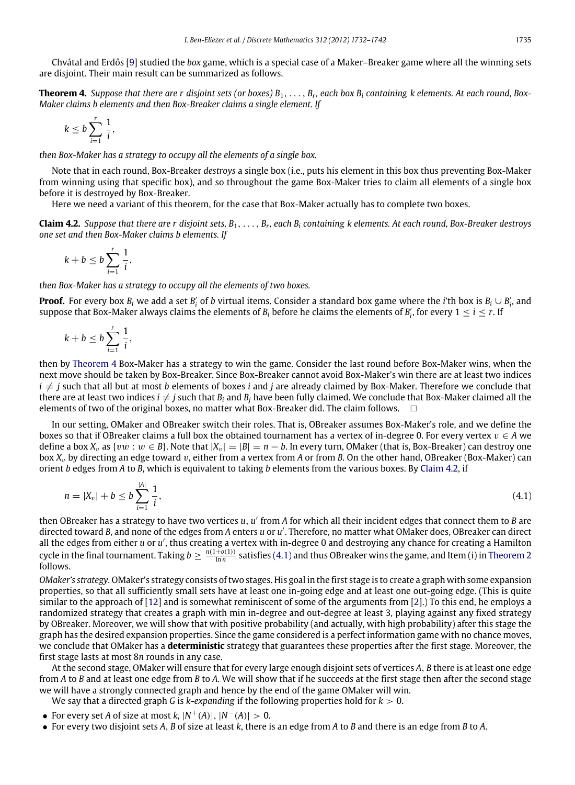Chvátal and Erdős [\[9\]](#page-10-2) studied the *box* game, which is a special case of a Maker–Breaker game where all the winning sets are disjoint. Their main result can be summarized as follows.

**Theorem 4.** Suppose that there are  $r$  disjoint sets (or boxes)  $B_1,\ldots,B_r$ , each box  $B_i$  containing  $k$  elements. At each round, Box-*Maker claims b elements and then Box-Breaker claims a single element. If*

<span id="page-3-0"></span>
$$
k \leq b \sum_{i=1}^r \frac{1}{i},
$$

*then Box-Maker has a strategy to occupy all the elements of a single box.*

Note that in each round, Box-Breaker *destroys* a single box (i.e., puts his element in this box thus preventing Box-Maker from winning using that specific box), and so throughout the game Box-Maker tries to claim all elements of a single box before it is destroyed by Box-Breaker.

<span id="page-3-1"></span>Here we need a variant of this theorem, for the case that Box-Maker actually has to complete two boxes.

**Claim 4.2.** *Suppose that there are r disjoint sets, B*1, . . . , *B<sup>r</sup> , each B<sup>i</sup> containing k elements. At each round, Box-Breaker destroys one set and then Box-Maker claims b elements. If*

$$
k+b\leq b\sum_{i=1}^r\frac{1}{i},
$$

*then Box-Maker has a strategy to occupy all the elements of two boxes.*

**Proof.** For every box  $B_i$  we add a set  $B'_i$  of *b* virtual items. Consider a standard box game where the *i*'th box is  $B_i \cup B'_i$ , and suppose that Box-Maker always claims the elements of *B*<sub>*i*</sub> before he claims the elements of *B*<sup>*i*</sup><sub>*i*</sub>, for every  $1 \le i \le r$ . If

$$
k+b\leq b\sum_{i=1}^r\frac{1}{i},
$$

then by [Theorem 4](#page-3-0) Box-Maker has a strategy to win the game. Consider the last round before Box-Maker wins, when the next move should be taken by Box-Breaker. Since Box-Breaker cannot avoid Box-Maker's win there are at least two indices  $i \neq j$  such that all but at most *b* elements of boxes *i* and *j* are already claimed by Box-Maker. Therefore we conclude that there are at least two indices  $i \neq j$  such that  $B_i$  and  $B_j$  have been fully claimed. We conclude that Box-Maker claimed all the elements of two of the original boxes, no matter what Box-Breaker did. The claim follows.  $\Box$ 

In our setting, OMaker and OBreaker switch their roles. That is, OBreaker assumes Box-Maker's role, and we define the boxes so that if OBreaker claims a full box the obtained tournament has a vertex of in-degree 0. For every vertex  $v \in A$  we define a box  $X_v$  as  $\{vw : w \in B\}$ . Note that  $|X_v| = |B| = n - b$ . In every turn, OMaker (that is, Box-Breaker) can destroy one box *X*<sup>v</sup> by directing an edge toward v, either from a vertex from *A* or from *B*. On the other hand, OBreaker (Box-Maker) can orient *b* edges from *A* to *B*, which is equivalent to taking *b* elements from the various boxes. By [Claim 4.2,](#page-3-1) if

<span id="page-3-2"></span>
$$
n = |X_v| + b \le b \sum_{i=1}^{|A|} \frac{1}{i},\tag{4.1}
$$

then OBreaker has a strategy to have two vertices *u*, *u'* from A for which all their incident edges that connect them to *B* are directed toward *B*, and none of the edges from *A* enters *u* or *u* ′ . Therefore, no matter what OMaker does, OBreaker can direct all the edges from either *u* or *u'*, thus creating a vertex with in-degree 0 and destroying any chance for creating a Hamilton cycle in the final tournament. Taking  $b \ge \frac{n(1+o(1))}{\ln n}$  satisfies [\(4.1\)](#page-3-2) and thus OBreaker wins the game, and Item (i) in [Theorem 2](#page-1-1) follows.

*OMaker's strategy.* OMaker's strategy consists of two stages. His goal in the first stage is to create a graph with some expansion properties, so that all sufficiently small sets have at least one in-going edge and at least one out-going edge. (This is quite similar to the approach of [\[12\]](#page-10-5) and is somewhat reminiscent of some of the arguments from [\[2\]](#page-10-9).) To this end, he employs a randomized strategy that creates a graph with min in-degree and out-degree at least 3, playing against any fixed strategy by OBreaker. Moreover, we will show that with positive probability (and actually, with high probability) after this stage the graph has the desired expansion properties. Since the game considered is a perfect information game with no chance moves, we conclude that OMaker has a **deterministic** strategy that guarantees these properties after the first stage. Moreover, the first stage lasts at most 8*n* rounds in any case.

At the second stage, OMaker will ensure that for every large enough disjoint sets of vertices *A*, *B* there is at least one edge from *A* to *B* and at least one edge from *B* to *A*. We will show that if he succeeds at the first stage then after the second stage we will have a strongly connected graph and hence by the end of the game OMaker will win.

- We say that a directed graph *G* is *k*-*expanding* if the following properties hold for *k* > 0.
- For every set *A* of size at most *k*,  $|N^+(A)|, |N^-(A)| > 0$ .
- For every two disjoint sets *A*, *B* of size at least *k*, there is an edge from *A* to *B* and there is an edge from *B* to *A*.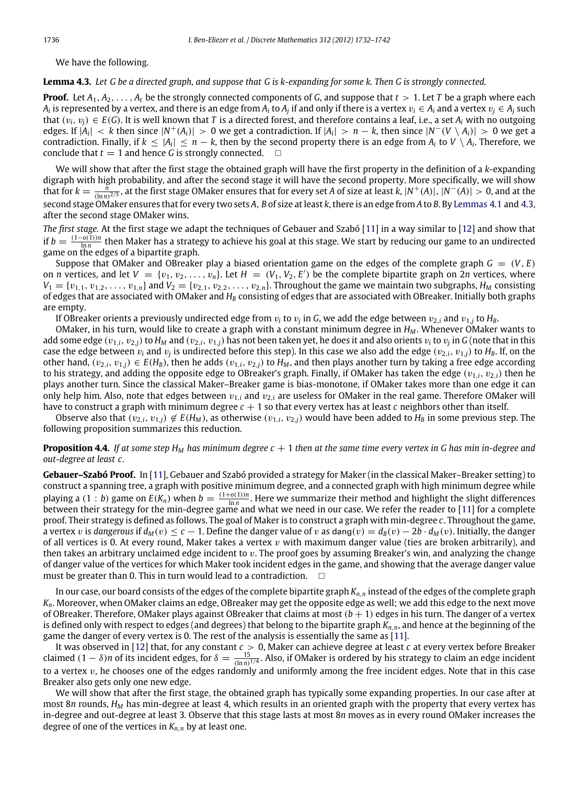<span id="page-4-0"></span>We have the following.

#### **Lemma 4.3.** *Let G be a directed graph, and suppose that G is k-expanding for some k. Then G is strongly connected.*

**Proof.** Let  $A_1, A_2, \ldots, A_t$  be the strongly connected components of *G*, and suppose that  $t > 1$ . Let *T* be a graph where each  $A_i$  is represented by a vertex, and there is an edge from  $A_i$  to  $A_j$  if and only if there is a vertex  $v_i\in A_i$  and a vertex  $v_j\in A_j$  such that  $(v_i, v_i) \in E(G)$ . It is well known that T is a directed forest, and therefore contains a leaf, i.e., a set  $A_i$  with no outgoing edges. If  $|A_i| < k$  then since  $|N^+(A_i)| > 0$  we get a contradiction. If  $|A_i| > n - k$ , then since  $|N^-(V \setminus A_i)| > 0$  we get a contradiction. Finally, if  $k \le |A_i| \le n - k$ , then by the second property there is an edge from  $A_i$  to  $V \setminus A_i$ . Therefore, we conclude that  $t = 1$  and hence *G* is strongly connected.  $\Box$ 

We will show that after the first stage the obtained graph will have the first property in the definition of a *k*-expanding digraph with high probability, and after the second stage it will have the second property. More specifically, we will show that for  $k = \frac{n}{(\ln n)^{2/5}}$ , at the first stage OMaker ensures that for every set *A* of size at least  $k$ ,  $|N^+(A)|$ ,  $|N^-(A)| > 0$ , and at the second stage OMaker ensures that for every two sets *A*, *B* of size at least *k*, there is an edge from *A* to *B*. By [Lemmas 4.1](#page-2-2) and [4.3,](#page-4-0) after the second stage OMaker wins.

*The first stage.* At the first stage we adapt the techniques of Gebauer and Szabó [\[11\]](#page-10-3) in a way similar to [\[12\]](#page-10-5) and show that if  $b = \frac{(1-o(1))n}{\ln n}$  then Maker has a strategy to achieve his goal at this stage. We start by reducing our game to an undirected game on the edges of a bipartite graph.

Suppose that OMaker and OBreaker play a biased orientation game on the edges of the complete graph  $G = (V, E)$ on *n* vertices, and let  $V = \{v_1, v_2, \ldots, v_n\}$ . Let  $H = (V_1, V_2, E')$  be the complete bipartite graph on 2*n* vertices, where  $V_1 = \{v_{1,1}, v_{1,2}, \ldots, v_{1,n}\}\$  and  $V_2 = \{v_{2,1}, v_{2,2}, \ldots, v_{2,n}\}\$ . Throughout the game we maintain two subgraphs,  $H_M$  consisting of edges that are associated with OMaker and *H<sup>B</sup>* consisting of edges that are associated with OBreaker. Initially both graphs are empty.

If OBreaker orients a previously undirected edge from v*<sup>i</sup>* to v*<sup>j</sup>* in *G*, we add the edge between v2,*<sup>i</sup>* and v1,*<sup>j</sup>* to *HB*.

OMaker, in his turn, would like to create a graph with a constant minimum degree in *H<sup>M</sup>* . Whenever OMaker wants to add some edge  $(v_{1,i},v_{2,j})$  to  $H_M$  and  $(v_{2,i},v_{1,j})$  has not been taken yet, he does it and also orients  $v_i$  to  $v_j$  in  $G$  (note that in this case the edge between  $v_i$  and  $v_j$  is undirected before this step). In this case we also add the edge  $(v_{2,i}, v_{1,j})$  to  $H_B$ . If, on the other hand,  $(v_{2,i}, v_{1,j}) \in E(H_B)$ , then he adds  $(v_{1,i}, v_{2,i})$  to  $H_M$ , and then plays another turn by taking a free edge according to his strategy, and adding the opposite edge to OBreaker's graph. Finally, if OMaker has taken the edge  $(v_{1,i}, v_{2,i})$  then he plays another turn. Since the classical Maker–Breaker game is bias-monotone, if OMaker takes more than one edge it can only help him. Also, note that edges between  $v_{1,i}$  and  $v_{2,i}$  are useless for OMaker in the real game. Therefore OMaker will have to construct a graph with minimum degree  $c + 1$  so that every vertex has at least  $c$  neighbors other than itself.

Observe also that  $(v_{2,i}, v_{1,i}) \notin E(H_M)$ , as otherwise  $(v_{1,i}, v_{2,i})$  would have been added to  $H_B$  in some previous step. The following proposition summarizes this reduction.

# **Proposition 4.4.** If at some step  $H_M$  has minimum degree  $c + 1$  then at the same time every vertex in G has min in-degree and *out-degree at least c.*

**Gebauer–Szabó Proof.** In [\[11\]](#page-10-3), Gebauer and Szabó provided a strategy for Maker (in the classical Maker–Breaker setting) to construct a spanning tree, a graph with positive minimum degree, and a connected graph with high minimum degree while playing a (1 : *b*) game on  $E(K_n)$  when  $b = \frac{(1+o(1))n}{\ln n}$ . Here we summarize their method and highlight the slight differences between their strategy for the min-degree game and what we need in our case. We refer the reader to [\[11\]](#page-10-3) for a complete proof. Their strategy is defined as follows. The goal of Maker is to construct a graph with min-degree *c*. Throughout the game, a vertex v is *dangerous* if  $d_M(v) \leq c - 1$ . Define the danger value of v as dang(v) =  $d_B(v) - 2b \cdot d_M(v)$ . Initially, the danger of all vertices is 0. At every round, Maker takes a vertex  $v$  with maximum danger value (ties are broken arbitrarily), and then takes an arbitrary unclaimed edge incident to v. The proof goes by assuming Breaker's win, and analyzing the change of danger value of the vertices for which Maker took incident edges in the game, and showing that the average danger value must be greater than 0. This in turn would lead to a contradiction.  $\Box$ 

In our case, our board consists of the edges of the complete bipartite graph *Kn*,*<sup>n</sup>* instead of the edges of the complete graph *Kn*. Moreover, when OMaker claims an edge, OBreaker may get the opposite edge as well; we add this edge to the next move of OBreaker. Therefore, OMaker plays against OBreaker that claims at most  $(b + 1)$  edges in his turn. The danger of a vertex is defined only with respect to edges (and degrees) that belong to the bipartite graph *Kn*,*n*, and hence at the beginning of the game the danger of every vertex is 0. The rest of the analysis is essentially the same as [\[11\]](#page-10-3).

It was observed in [\[12\]](#page-10-5) that, for any constant *c* > 0, Maker can achieve degree at least *c* at every vertex before Breaker claimed  $(1-\delta)n$  of its incident edges, for  $\delta=\frac{15}{(\ln n)^{1/4}}$ . Also, if OMaker is ordered by his strategy to claim an edge incident to a vertex  $v$ , he chooses one of the edges randomly and uniformly among the free incident edges. Note that in this case Breaker also gets only one new edge.

We will show that after the first stage, the obtained graph has typically some expanding properties. In our case after at most 8*n* rounds, *H<sup>M</sup>* has min-degree at least 4, which results in an oriented graph with the property that every vertex has in-degree and out-degree at least 3. Observe that this stage lasts at most 8*n* moves as in every round OMaker increases the degree of one of the vertices in *Kn*,*<sup>n</sup>* by at least one.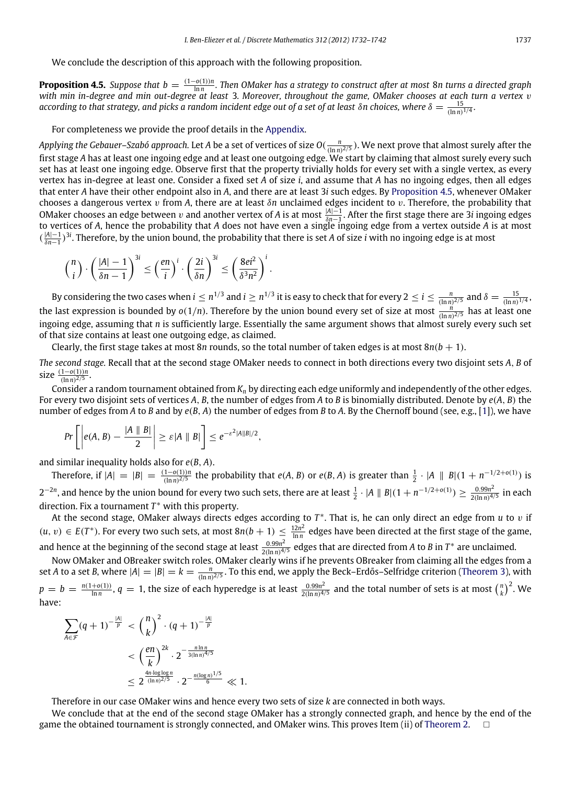<span id="page-5-0"></span>We conclude the description of this approach with the following proposition.

**Proposition 4.5.** Suppose that  $b = \frac{(1-o(1))n}{\ln n}$ . Then OMaker has a strategy to construct after at most 8*n* turns a directed graph *with min in-degree and min out-degree at least* 3*. Moreover, throughout the game, OMaker chooses at each turn a vertex* v according to that strategy, and picks a random incident edge out of a set of at least  $\delta$ n choices, where  $\delta = \frac{15}{(\ln n)^{1/4}}$ .

For completeness we provide the proof details in the [Appendix.](#page-7-0)

*Applying the Gebauer–Szabó approach.* Let *A* be a set of vertices of size *O*( *n* (ln *n*) 2/5 ). We next prove that almost surely after the first stage *A* has at least one ingoing edge and at least one outgoing edge. We start by claiming that almost surely every such set has at least one ingoing edge. Observe first that the property trivially holds for every set with a single vertex, as every vertex has in-degree at least one. Consider a fixed set *A* of size *i*, and assume that *A* has no ingoing edges, then all edges that enter *A* have their other endpoint also in *A*, and there are at least 3*i* such edges. By [Proposition 4.5,](#page-5-0) whenever OMaker chooses a dangerous vertex v from *A*, there are at least δ*n* unclaimed edges incident to v. Therefore, the probability that OMaker chooses an edge between *v* and another vertex of *A* is at most  $\frac{|A|-1}{\delta n-1}$ . After the first stage there are 3*i* ingoing edges to vertices of *A*, hence the probability that *A* does not have even a single ingoing edge from a vertex outside *A* is at most ( |*A*|−1 δ*n*−1 ) 3*i* . Therefore, by the union bound, the probability that there is set *A* of size *i* with no ingoing edge is at most

$$
{\binom{n}{i}} \cdot {\left(\frac{|A|-1}{\delta n-1}\right)}^{3i} \leq {\left(\frac{en}{i}\right)}^i \cdot {\left(\frac{2i}{\delta n}\right)}^{3i} \leq {\left(\frac{8ei^2}{\delta^3 n^2}\right)}^i.
$$

By considering the two cases when  $i \leq n^{1/3}$  and  $i \geq n^{1/3}$  it is easy to check that for every  $2 \leq i \leq \frac{n}{(\ln n)^{2/5}}$  and  $\delta = \frac{15}{(\ln n)^{1/4}}$ , the last expression is bounded by  $o(1/n)$ . Therefore by the union bound every set of size at most  $\frac{n}{(\ln n)^{2/5}}$  has at least one ingoing edge, assuming that *n* is sufficiently large. Essentially the same argument shows that almost surely every such set of that size contains at least one outgoing edge, as claimed.

Clearly, the first stage takes at most 8*n* rounds, so the total number of taken edges is at most  $8n(b + 1)$ .

*The second stage.* Recall that at the second stage OMaker needs to connect in both directions every two disjoint sets *A*, *B* of size  $\frac{(1-o(1))n}{(\ln n)^{2/5}}$ .

Consider a random tournament obtained from *K<sup>n</sup>* by directing each edge uniformly and independently of the other edges. For every two disjoint sets of vertices *A*, *B*, the number of edges from *A* to *B* is binomially distributed. Denote by *e*(*A*, *B*) the number of edges from *A* to *B* and by *e*(*B*, *A*) the number of edges from *B* to *A*. By the Chernoff bound (see, e.g., [\[1\]](#page-10-10)), we have

$$
Pr\left[\left|e(A, B)-\frac{|A||B|}{2}\right|\geq \varepsilon |A||B|\right]\leq e^{-\varepsilon^2|A||B|/2},
$$

and similar inequality holds also for *e*(*B*, *A*).

Therefore, if  $|A| = |B| = \frac{(1 - o(1))n}{(\ln n)^{2/5}}$  the probability that  $e(A, B)$  or  $e(B, A)$  is greater than  $\frac{1}{2} \cdot |A| ||B|(1 + n^{-1/2 + o(1)})$  is 2<sup>-2*n*</sup>, and hence by the union bound for every two such sets, there are at least  $\frac{1}{2} \cdot |A||B|(1 + n^{-1/2+o(1)}) \ge \frac{0.99n^2}{2(\ln n)^4}$  $\frac{0.998}{2(\ln n)^{4/5}}$  in each direction. Fix a tournament *T* <sup>∗</sup> with this property.

At the second stage, OMaker always directs edges according to T<sup>\*</sup>. That is, he can only direct an edge from *u* to *v* if  $(u, v)$  ∈  $E(T^*)$ . For every two such sets, at most  $8n(b + 1)$  ≤  $\frac{12n^2}{\ln n}$  $\frac{12R}{\ln n}$  edges have been directed at the first stage of the game, and hence at the beginning of the second stage at least  $\frac{0.99n^2}{2(2n+1)^4}$  $\frac{0.99n^2}{2(ln n)^{4/5}}$  edges that are directed from *A* to *B* in  $T^*$  are unclaimed.

Now OMaker and OBreaker switch roles. OMaker clearly wins if he prevents OBreaker from claiming all the edges from a set *A* to a set *B*, where  $|A| = |B| = k = \frac{n}{(\ln n)^{2/5}}$ . To this end, we apply the Beck–Erdős–Selfridge criterion [\(Theorem 3\)](#page-1-2), with  $p = b = \frac{n(1+o(1))}{\ln n}$ ,  $q = 1$ , the size of each hyperedge is at least  $\frac{0.99n^2}{2(\ln n)^4}$  $\frac{0.99n^2}{2(\ln n)^{4/5}}$  and the total number of sets is at most  $\binom{n}{k}^2$ . We have:

$$
\sum_{A \in \mathcal{F}} (q+1)^{-\frac{|A|}{p}} < {n \choose k}^2 \cdot (q+1)^{-\frac{|A|}{p}} \\
& < \left(\frac{en}{k}\right)^{2k} \cdot 2^{-\frac{n \ln n}{3(\ln n)^{4/5}}} \\
&\leq 2^{\frac{4n \cdot \log \log n}{(\ln n)^{2/5}} \cdot 2^{-\frac{n(\log n)^{1/5}}{6}} \ll 1.
$$

Therefore in our case OMaker wins and hence every two sets of size *k* are connected in both ways.

We conclude that at the end of the second stage OMaker has a strongly connected graph, and hence by the end of the game the obtained tournament is strongly connected, and OMaker wins. This proves Item (ii) of [Theorem 2.](#page-1-1)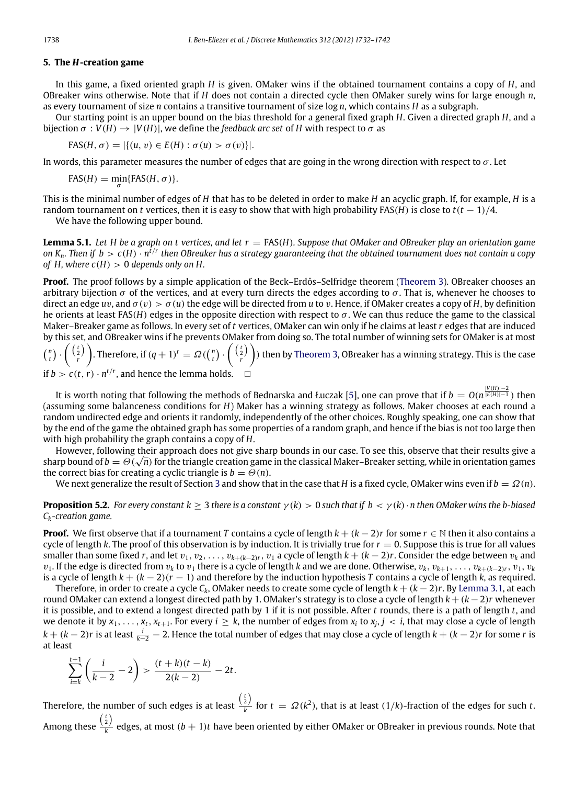#### <span id="page-6-0"></span>**5. The** *H***-creation game**

In this game, a fixed oriented graph *H* is given. OMaker wins if the obtained tournament contains a copy of *H*, and OBreaker wins otherwise. Note that if *H* does not contain a directed cycle then OMaker surely wins for large enough *n*, as every tournament of size *n* contains a transitive tournament of size log *n*, which contains *H* as a subgraph.

Our starting point is an upper bound on the bias threshold for a general fixed graph *H*. Given a directed graph *H*, and a bijection  $\sigma : V(H) \rightarrow |V(H)|$ , we define the *feedback arc set* of *H* with respect to  $\sigma$  as

$$
FAS(H, \sigma) = |\{(u, v) \in E(H) : \sigma(u) > \sigma(v)\}|.
$$

In words, this parameter measures the number of edges that are going in the wrong direction with respect to  $\sigma$ . Let

$$
FAS(H) = \min_{\sigma} \{FAS(H, \sigma)\}.
$$

This is the minimal number of edges of *H* that has to be deleted in order to make *H* an acyclic graph. If, for example, *H* is a random tournament on *t* vertices, then it is easy to show that with high probability FAS(*H*) is close to *t*(*t* − 1)/4.

We have the following upper bound.

**Lemma 5.1.** *Let H be a graph on t vertices, and let r* = FAS(*H*)*. Suppose that OMaker and OBreaker play an orientation game* on  $K_n$ . Then if  $b > c(H) \cdot n^{t/r}$  then OBreaker has a strategy guaranteeing that the obtained tournament does not contain a copy *of H, where*  $c(H) > 0$  *depends only on H.* 

**Proof.** The proof follows by a simple application of the Beck–Erdős–Selfridge theorem [\(Theorem 3\)](#page-1-2). OBreaker chooses an arbitrary bijection  $\sigma$  of the vertices, and at every turn directs the edges according to  $\sigma$ . That is, whenever he chooses to direct an edge *uv*, and  $\sigma(v) > \sigma(u)$  the edge will be directed from *u* to *v*. Hence, if OMaker creates a copy of *H*, by definition he orients at least FAS(*H*) edges in the opposite direction with respect to  $\sigma$ . We can thus reduce the game to the classical Maker–Breaker game as follows. In every set of *t* vertices, OMaker can win only if he claims at least *r* edges that are induced by this set, and OBreaker wins if he prevents OMaker from doing so. The total number of winning sets for OMaker is at most

 $\binom{n}{t}$ .  $\binom{\binom{t}{2}}{r}$ *r* Therefore, if  $(q + 1)^r = \Omega\left(\binom{n}{t}\cdot \binom{\binom{t}{2}}{r} \right)$ *r* ) then by [Theorem 3,](#page-1-2) OBreaker has a winning strategy. This is the case if  $b > c(t, r) \cdot n^{t/r}$ , and hence the lemma holds.  $\square$ 

It is worth noting that following the methods of Bednarska and Łuczak [\[5\]](#page-10-1), one can prove that if *b* = *O*(*n* |*V*(*H*)|−2 <sup>|</sup>*E*(*H*)|−<sup>1</sup> ) then (assuming some balanceness conditions for *H*) Maker has a winning strategy as follows. Maker chooses at each round a random undirected edge and orients it randomly, independently of the other choices. Roughly speaking, one can show that by the end of the game the obtained graph has some properties of a random graph, and hence if the bias is not too large then with high probability the graph contains a copy of *H*.

However, following their approach does not give sharp bounds in our case. To see this, observe that their results give a √ sharp bound of  $b=\Theta(\sqrt{n})$  for the triangle creation game in the classical Maker–Breaker setting, while in orientation games the correct bias for creating a cyclic triangle is  $b = \Theta(n)$ .

We next generalize the result of Section [3](#page-2-0) and show that in the case that *H* is a fixed cycle, OMaker wins even if  $b = \Omega(n)$ .

**Proposition 5.2.** For every constant  $k \geq 3$  there is a constant  $\gamma(k) > 0$  such that if  $b < \gamma(k)$  · n then OMaker wins the b-biased *Ck-creation game.*

**Proof.** We first observe that if a tournament *T* contains a cycle of length *k* + (*k* − 2)*r* for some *r* ∈ N then it also contains a cycle of length *k*. The proof of this observation is by induction. It is trivially true for  $r = 0$ . Suppose this is true for all values smaller than some fixed *r*, and let  $v_1, v_2, \ldots, v_{k+(k-2)r}, v_1$  a cycle of length  $k + (k-2)r$ . Consider the edge between  $v_k$  and *v*<sub>1</sub>. If the edge is directed from  $v_k$  to  $v_1$  there is a cycle of length *k* and we are done. Otherwise,  $v_k$ ,  $v_{k+1}$ , ...,  $v_{k+(k-2)r}$ ,  $v_1$ ,  $v_k$ is a cycle of length  $k + (k - 2)(r - 1)$  and therefore by the induction hypothesis *T* contains a cycle of length *k*, as required.

Therefore, in order to create a cycle *Ck*, OMaker needs to create some cycle of length *k* + (*k* − 2)*r*. By [Lemma 3.1,](#page-2-1) at each round OMaker can extend a longest directed path by 1. OMaker's strategy is to close a cycle of length *k*+(*k*−2)*r* whenever it is possible, and to extend a longest directed path by 1 if it is not possible. After *t* rounds, there is a path of length *t*, and we denote it by  $x_1, \ldots, x_t, x_{t+1}$ . For every  $i \geq k$ , the number of edges from  $x_i$  to  $x_j, j < i$ , that may close a cycle of length *k* + (*k* − 2)*r* is at least  $\frac{i}{k-2}$  − 2. Hence the total number of edges that may close a cycle of length *k* + (*k* − 2)*r* for some *r* is at least

$$
\sum_{i=k}^{t+1} \left( \frac{i}{k-2} - 2 \right) > \frac{(t+k)(t-k)}{2(k-2)} - 2t.
$$

Therefore, the number of such edges is at least  $\binom{t}{2}$  $\frac{2}{k}$  for  $t = \Omega(k^2)$ , that is at least  $(1/k)$ -fraction of the edges for such *t*. Among these  $\binom{t}{2}$  $\frac{2}{k}$  edges, at most  $(b + 1)t$  have been oriented by either OMaker or OBreaker in previous rounds. Note that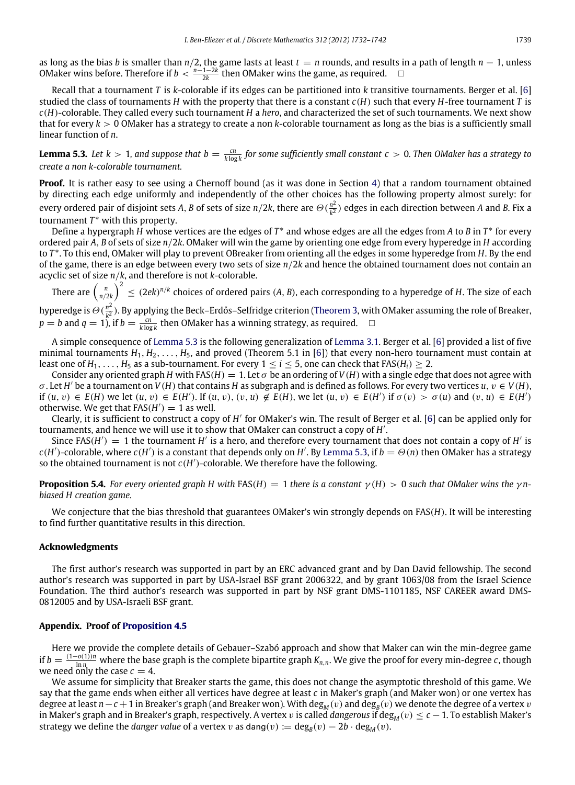as long as the bias *b* is smaller than *n*/2, the game lasts at least *t* = *n* rounds, and results in a path of length *n* − 1, unless OMaker wins before. Therefore if *b*  $\frac{n-1-2k}{2k}$  then OMaker wins the game, as required. □

Recall that a tournament *T* is *k*-colorable if its edges can be partitioned into *k* transitive tournaments. Berger et al. [\[6\]](#page-10-11) studied the class of tournaments *H* with the property that there is a constant *c*(*H*) such that every *H*-free tournament *T* is *c*(*H*)-colorable. They called every such tournament *H* a *hero*, and characterized the set of such tournaments. We next show that for every *k* > 0 OMaker has a strategy to create a non *k*-colorable tournament as long as the bias is a sufficiently small linear function of *n*.

<span id="page-7-1"></span>**Lemma 5.3.** Let  $k > 1$ , and suppose that  $b = \frac{cn}{k \log k}$  for some sufficiently small constant  $c > 0$ . Then OMaker has a strategy to *create a non k-colorable tournament.*

Proof. It is rather easy to see using a Chernoff bound (as it was done in Section [4\)](#page-2-3) that a random tournament obtained by directing each edge uniformly and independently of the other choices has the following property almost surely: for every ordered pair of disjoint sets *A*, *B* of sets of size  $n/2k$ , there are  $\Theta(\frac{n^2}{2k})$ *k* 2 ) edges in each direction between *A* and *B*. Fix a tournament  $T^*$  with this property.

Define a hypergraph *H* whose vertices are the edges of T\* and whose edges are all the edges from A to B in T\* for every ordered pair *A*, *B* of sets of size *n*/2*k*. OMaker will win the game by orienting one edge from every hyperedge in *H* according to *T* ∗ . To this end, OMaker will play to prevent OBreaker from orienting all the edges in some hyperedge from *H*. By the end of the game, there is an edge between every two sets of size *n*/2*k* and hence the obtained tournament does not contain an acyclic set of size *n*/*k*, and therefore is not *k*-colorable.

There are  $\binom{n}{n/2k}^2\leq (2e k)^{n/k}$  choices of ordered pairs  $(A,B)$ , each corresponding to a hyperedge of *H*. The size of each hyperedge is  $\Theta(\frac{n^2}{\nu^2})$ *k* 2 ). By applying the Beck–Erdős–Selfridge criterion [\(Theorem 3,](#page-1-2) with OMaker assuming the role of Breaker,  $p = b$  and  $q = 1$ ), if  $b = \frac{cn}{k \log k}$  then OMaker has a winning strategy, as required.  $\Box$ 

A simple consequence of [Lemma 5.3](#page-7-1) is the following generalization of [Lemma 3.1.](#page-2-1) Berger et al. [\[6\]](#page-10-11) provided a list of five minimal tournaments  $H_1, H_2, \ldots, H_5$  and proved (Theorem 5.1 in [\[6\]](#page-10-11)) that every non-hero tournament must contain at least one of  $H_1, \ldots, H_5$  as a sub-tournament. For every  $1 \le i \le 5$ , one can check that FAS( $H_i$ ) > 2.

Consider any oriented graph *H* with FAS(*H*) = 1. Let  $\sigma$  be an ordering of *V*(*H*) with a single edge that does not agree with  $\sigma$ . Let  $H'$  be a tournament on  $V(H)$  that contains  $H$  as subgraph and is defined as follows. For every two vertices  $u, v \in V(H)$ , if  $(u, v) \in E(H)$  we let  $(u, v) \in E(H')$ . If  $(u, v), (v, u) \notin E(H)$ , we let  $(u, v) \in E(H')$  if  $\sigma(v) > \sigma(u)$  and  $(v, u) \in E(H')$ otherwise. We get that  $FAS(H') = 1$  as well.

Clearly, it is sufficient to construct a copy of *H'* for OMaker's win. The result of Berger et al. [\[6\]](#page-10-11) can be applied only for tournaments, and hence we will use it to show that OMaker can construct a copy of *H* ′ .

Since FAS( $H'$ ) = 1 the tournament  $H'$  is a hero, and therefore every tournament that does not contain a copy of  $H'$  is  $c(H')$ -colorable, where  $c(H')$  is a constant that depends only on *H'*. By [Lemma 5.3,](#page-7-1) if  $b = \Theta(n)$  then OMaker has a strategy so the obtained tournament is not  $c(H')$ -colorable. We therefore have the following.

**Proposition 5.4.** For every oriented graph H with FAS(H) = 1 there is a constant  $\gamma(H) > 0$  such that OMaker wins the  $\gamma$ n*biased H creation game.*

We conjecture that the bias threshold that guarantees OMaker's win strongly depends on FAS(*H*). It will be interesting to find further quantitative results in this direction.

#### **Acknowledgments**

The first author's research was supported in part by an ERC advanced grant and by Dan David fellowship. The second author's research was supported in part by USA-Israel BSF grant 2006322, and by grant 1063/08 from the Israel Science Foundation. The third author's research was supported in part by NSF grant DMS-1101185, NSF CAREER award DMS-0812005 and by USA-Israeli BSF grant.

#### <span id="page-7-0"></span>**Appendix. Proof of [Proposition 4.5](#page-5-0)**

Here we provide the complete details of Gebauer–Szabó approach and show that Maker can win the min-degree game if *b* =  $\frac{(1-o(1))n}{\ln n}$  where the base graph is the complete bipartite graph *K<sub>n,n</sub>*. We give the proof for every min-degree *c*, though we need only the case  $c = 4$ .

We assume for simplicity that Breaker starts the game, this does not change the asymptotic threshold of this game. We say that the game ends when either all vertices have degree at least *c* in Maker's graph (and Maker won) or one vertex has degree at least  $n-c+1$  in Breaker's graph (and Breaker won). With deg $_M(v)$  and deg $_B(v)$  we denote the degree of a vertex  $v$ in Maker's graph and in Breaker's graph, respectively. A vertex v is called *dangerous* if deg<sub>*M*</sub> (v)  $\leq$  c − 1. To establish Maker's strategy we define the *danger value* of a vertex v as dang $(v) := \deg_B(v) - 2b \cdot \deg_M(v)$ .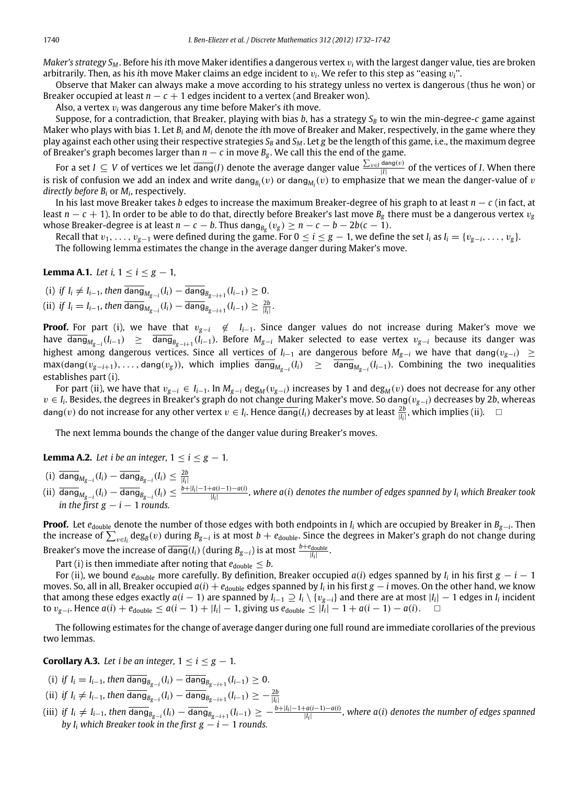*Maker's strategy S<sup>M</sup>* . Before his *i*th move Maker identifies a dangerous vertex v*<sup>i</sup>* with the largest danger value, ties are broken arbitrarily. Then, as his *i*th move Maker claims an edge incident to  $v_i$ . We refer to this step as "easing  $v_i$ ".

Observe that Maker can always make a move according to his strategy unless no vertex is dangerous (thus he won) or Breaker occupied at least  $n - c + 1$  edges incident to a vertex (and Breaker won).

Also, a vertex v*<sup>i</sup>* was dangerous any time before Maker's *i*th move.

Suppose, for a contradiction, that Breaker, playing with bias *b*, has a strategy S<sub>*B*</sub> to win the min-degree-*c* game against Maker who plays with bias 1. Let *B<sup>i</sup>* and *M<sup>i</sup>* denote the *i*th move of Breaker and Maker, respectively, in the game where they play against each other using their respective strategies  $S_B$  and  $S_M$ . Let *g* be the length of this game, i.e., the maximum degree of Breaker's graph becomes larger than  $n - c$  in move  $B_g$ . We call this the end of the game.

For a set  $I\subseteq V$  of vertices we let  $\overline{\sf{dag}}(I)$  denote the average danger value  $\frac{\sum_{v\in I}\sf{dang}(v)}{|I|}$  of the vertices of *I*. When there is risk of confusion we add an index and write dang $_{B_i}(v)$  or dang $_{M_i}(v)$  to emphasize that we mean the danger-value of  $v$ *directly before B<sup>i</sup>* or *M<sup>i</sup>* , respectively.

In his last move Breaker takes *b* edges to increase the maximum Breaker-degree of his graph to at least *n* − *c* (in fact, at least *n* − *c* + 1). In order to be able to do that, directly before Breaker's last move *B<sup>g</sup>* there must be a dangerous vertex v*<sup>g</sup>* whose Breaker-degree is at least  $n - c - b$ . Thus dang $_{B_{g}}(v_{g}) \geq n - c - b - 2b(c - 1)$ .

Recall that  $v_1, \ldots, v_{g-1}$  were defined during the game. For  $0 \le i \le g-1$ , we define the set  $I_i$  as  $I_i = \{v_{g-i}, \ldots, v_g\}$ . The following lemma estimates the change in the average danger during Maker's move.

**Lemma A.1.** *Let i,*  $1 \le i \le g - 1$ *,* 

(i) *if*  $I_i \neq I_{i-1}$ , then  $\overline{\text{dang}}_{M_{g-i}}(I_i) - \overline{\text{dang}}_{B_{g-i+1}}(I_{i-1}) \geq 0$ . (ii) *if I*<sub>*i*</sub> = *I*<sub>*i*−1</sub>, then  $\overline{\text{dang}}_{M_{g-i}}(I_i) - \overline{\text{dang}}_{B_{g-i+1}}(I_{i-1}) \ge \frac{2b}{|I_i|}$ .

**Proof.** For part (i), we have that  $v_{g-i} \notin I_{i-1}$ . Since danger values do not increase during Maker's move we have dang*Mg*−*<sup>i</sup>* (*Ii*−1) ≥ dang*Bg*−*i*+<sup>1</sup> (*Ii*−1). Before *Mg*−*<sup>i</sup>* Maker selected to ease vertex v*g*−*<sup>i</sup>* because its danger was highest among dangerous vertices. Since all vertices of *Ii*−<sup>1</sup> are dangerous before *Mg*−*<sup>i</sup>* we have that dang(v*g*−*i*) ≥ max(dang(v*g*−*i*+1), . . . , dang(v*<sup>g</sup>* )), which implies dang*Mg*−*<sup>i</sup>* (*Ii*) ≥ dang*Mg*−*<sup>i</sup>* (*Ii*−1). Combining the two inequalities establishes part (i).

For part (ii), we have that  $v_{g-i} \in I_{i-1}$ . In  $M_{g-i}$  deg<sub>*M*</sub> ( $v_{g-i}$ ) increases by 1 and deg<sub>*M*</sub> (*v*) does not decrease for any other v ∈ *I<sup>i</sup>* . Besides, the degrees in Breaker's graph do not change during Maker's move. So dang(v*g*−*i*) decreases by 2*b*, whereas dang $(v)$  do not increase for any other vertex  $v \in I_i$ . Hence  $\overline{ \rm{dang}}(I_i)$  decreases by at least  $\frac{2b}{|I_i|}$ , which implies (ii).  $\Box$ 

The next lemma bounds the change of the danger value during Breaker's moves.

**Lemma A.2.** Let *i* be an integer,  $1 \le i \le g - 1$ .

- $\frac{d}{dt}$  (**i**)  $\frac{d}{dt}$   $\frac{d}{dt}$  dang $\frac{d}{dt}$ <sub>*Bg−i*</sub> (*I<sub>i</sub>*)  $\leq \frac{2b}{|I_i|}$
- (ii)  $\overline{\sf{dang}}_{\mathsf{M}_{\mathsf{g}-i}}(l_i)-\overline{\sf{dang}}_{\mathsf{B}_{\mathsf{g}-i}}(l_i)\leq \frac{b+|l_i|-1+a(i-1)-a(i)}{|l_i|}$ , where  $a(i)$  denotes the number of edges spanned by  $l_i$  which Breaker took *in the first g – i – 1 rounds*

**Proof.** Let *e*double denote the number of those edges with both endpoints in *I<sup>i</sup>* which are occupied by Breaker in *Bg*−*<sup>i</sup>* . Then the increase of  $\sum_{v\in I_i}$  deg<sub>*B*</sub>(*v*) during *B<sub>g−i</sub>* is at most *b* + *e*<sub>double</sub>. Since the degrees in Maker's graph do not change during Breaker's move the increase of  $\overline{ \text{dang}}(I_i)$  (during  $B_{g-i}$ ) is at most  $\frac{b+e_{\text{double}}}{|I_i|}$ .

Part (i) is then immediate after noting that  $e_{\text{double}} \leq b$ .

For (ii), we bound *e*double more carefully. By definition, Breaker occupied *a*(*i*) edges spanned by *I<sup>i</sup>* in his first *g* − *i* − 1 moves. So, all in all, Breaker occupied  $a(i) + e_{double}$  edges spanned by  $I_i$  in his first  $g - i$  moves. On the other hand, we know that among these edges exactly  $a(i-1)$  are spanned by  $I_{i-1} \supseteq I_i \setminus \{v_{g-i}\}\$  and there are at most  $|I_i| - 1$  edges in  $I_i$  incident  $\log_{\frac{1}{2}}$  **i** Hence  $a(i) + e_{\text{double}} \le a(i-1) + |I_i| - 1$ , giving us  $e_{\text{double}} \le |\bar{I}_i| - 1 + a(i-1) - a(i)$ . □

The following estimates for the change of average danger during one full round are immediate corollaries of the previous two lemmas.

<span id="page-8-0"></span>**Corollary A.3.** Let *i* be an integer,  $1 \le i \le g - 1$ .

- (i) *if*  $I_i = I_{i-1}$ , then  $\overline{\text{dang}}_{B_{g-i}}(I_i) \overline{\text{dang}}_{B_{g-i+1}}(I_{i-1}) \ge 0$ .
- $\delta$  (ii) *if*  $I_i \neq I_{i-1}$ *, then*  $\overline{\text{dang}}_{B_{g-i}}(I_i) \overline{\text{dang}}_{B_{g-i+1}}(I_{i-1}) \geq -\frac{2b}{|I_i|}$
- (iii) if  $I_i \neq I_{i-1}$ , then  $\overline{\text{dang}}_{B_{g-i}}(I_i) \overline{\text{dang}}_{B_{g-i+1}}(I_{i-1}) \geq -\frac{b+|I_i|-1+a(i-1)-a(i)}{|I_i|}$ , where  $a(i)$  denotes the number of edges spanned *by I<sub>i</sub>* which Breaker took in the first  $g - i - 1$  rounds.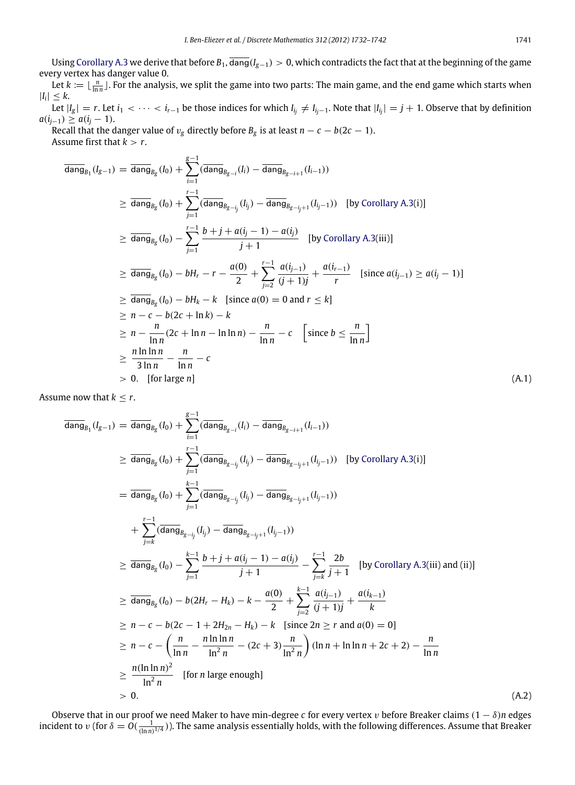Let  $k := \lfloor \frac{n}{\ln n} \rfloor$ . For the analysis, we split the game into two parts: The main game, and the end game which starts when  $|I_i| \leq k$ .

Let  $|I_g|=r$ . Let  $i_1<\cdots < i_{r-1}$  be those indices for which  $I_{i_j}\neq I_{i_j-1}$ . Note that  $|I_{i_j}|=j+1$ . Observe that by definition *a*( $i_{i-1}$ ) ≥ *a*( $i_i$  − 1).

Recall that the danger value of  $v_g$  directly before  $B_g$  is at least  $n - c - b(2c - 1)$ . Assume first that  $k > r$ .

$$
\overline{\text{dang}}_{B_1}(I_{g-1}) = \overline{\text{dang}}_{B_g}(I_0) + \sum_{i=1}^{g-1} (\overline{\text{dang}}_{B_{g-i}}(I_i) - \overline{\text{dang}}_{B_{g-i+1}}(I_{i-1}))
$$
\n
$$
\geq \overline{\text{dang}}_{B_g}(I_0) + \sum_{j=1}^{r-1} (\overline{\text{dang}}_{B_{g-j}}(I_{ij}) - \overline{\text{dang}}_{B_{g-j+1}}(I_{ij-1})) \quad [\text{by Corollary A.3(i)}]
$$
\n
$$
\geq \overline{\text{dang}}_{B_g}(I_0) - \sum_{j=1}^{r-1} \frac{b+j+a(i_j-1) - a(j_j)}{j+1} \quad [\text{by Corollary A.3(iii)}]
$$
\n
$$
\geq \overline{\text{dang}}_{B_g}(I_0) - bH_r - r - \frac{a(0)}{2} + \sum_{j=2}^{r-1} \frac{a(i_{j-1})}{(j+1)j} + \frac{a(i_{r-1})}{r} \quad [\text{since } a(i_{j-1}) \geq a(i_j-1)]
$$
\n
$$
\geq \overline{\text{dang}}_{B_g}(I_0) - bH_k - k \quad [\text{since } a(0) = 0 \text{ and } r \leq k]
$$
\n
$$
\geq n - c - b(2c + \ln k) - k
$$
\n
$$
\geq n - \frac{n}{\ln n}(2c + \ln n - \ln \ln n) - \frac{n}{\ln n} - c \quad [\text{since } b \leq \frac{n}{\ln n}]
$$
\n
$$
\geq \frac{n \ln \ln n}{3 \ln n} - \frac{n}{\ln n} - c
$$
\n
$$
\geq 0. \quad [\text{for large } n] \tag{A.1}
$$

Assume now that  $k < r$ .

$$
\overline{\text{dang}}_{B_1}(I_{g-1}) = \overline{\text{dang}}_{B_g}(I_0) + \sum_{i=1}^{g-1} (\overline{\text{dang}}_{B_{g-i}}(I_i) - \overline{\text{dang}}_{B_{g-i+1}}(I_{i-1}))
$$
\n
$$
\geq \overline{\text{dang}}_{B_g}(I_0) + \sum_{j=1}^{r-1} (\overline{\text{dang}}_{B_{g-i_j}}(I_{i_j}) - \overline{\text{dang}}_{B_{g-i+1}}(I_{i_{j-1}})) \quad [\text{by Corollary A.3(i)}]
$$
\n
$$
= \overline{\text{dang}}_{B_g}(I_0) + \sum_{j=1}^{r-1} (\overline{\text{dang}}_{B_{g-i_j}}(I_{i_j}) - \overline{\text{dang}}_{B_{g-i+1}}(I_{i_{j-1}}))
$$
\n
$$
+ \sum_{j=k}^{r-1} (\overline{\text{dang}}_{B_{g-i_j}}(I_{i_j}) - \overline{\text{dang}}_{B_{g-i+1}}(I_{i_{j-1}}))
$$
\n
$$
\geq \overline{\text{dang}}_{B_g}(I_0) - \sum_{j=1}^{k-1} \frac{b+j+a(i_j-1)-a(i_j)}{j+1} - \sum_{j=k}^{r-1} \frac{2b}{j+1} \quad [\text{by Corollary A.3(iii)} \text{ and (ii)}]
$$
\n
$$
\geq \overline{\text{dang}}_{B_g}(I_0) - b(2H_r - H_k) - k - \frac{a(0)}{2} + \sum_{j=2}^{k-1} \frac{a(i_{j-1})}{(j+1)j} + \frac{a(i_{k-1})}{k}
$$
\n
$$
\geq n - c - b(2c - 1 + 2H_{2n} - H_k) - k \quad [\text{since } 2n \geq r \text{ and } a(0) = 0]
$$
\n
$$
\geq n - c - \left(\frac{n}{\ln n} - \frac{n \ln \ln n}{\ln^2 n} - (2c + 3) \frac{n}{\ln^2 n}\right) (\ln n + \ln \ln n + 2c + 2) - \frac{n}{\ln n}
$$
\n
$$
\geq \frac{n(\ln \ln n)^2}{\ln^2 n} \quad [\text{for n large enough}]
$$
\n(

Observe that in our proof we need Maker to have min-degree *c* for every vertex v before Breaker claims (1 − δ)*n* edges incident to v (for  $\delta = O(\frac{1}{(\ln n)^{1/4}})$ ). The same analysis essentially holds, with the following differences. Assume that Breaker